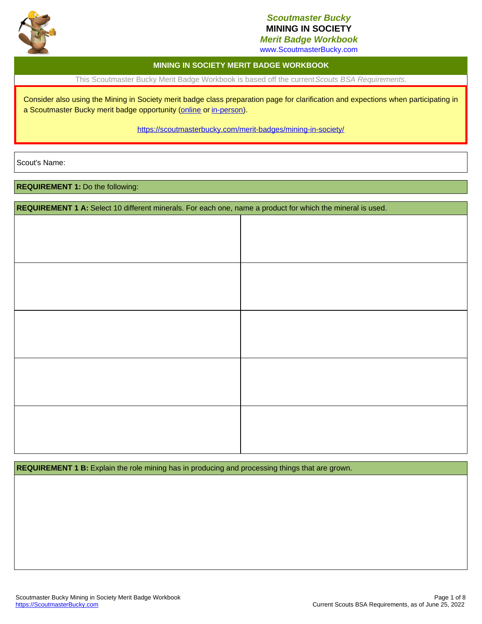

# *Scoutmaster Bucky* **MINING IN SOCIETY**

*Merit Badge Workbook* www.ScoutmasterBucky.com

### **MINING IN SOCIETY MERIT BADGE WORKBOOK**

This Scoutmaster Bucky Merit Badge Workbook is based off the current*Scouts BSA Requirements*.

Consider also using the Mining in Society merit badge class preparation page for clarification and expections when participating in a Scoutmaster Bucky merit badge opportunity ([online](http://localhost:8080/merit-badges/mining-in-society/?notes=online) or [in-person](http://localhost:8080/merit-badges/mining-in-society/?notes=inPerson)).

<https://scoutmasterbucky.com/merit-badges/mining-in-society/>

Scout's Name:

**REQUIREMENT 1:** Do the following:

**REQUIREMENT 1 A:** Select 10 different minerals. For each one, name a product for which the mineral is used.

**REQUIREMENT 1 B:** Explain the role mining has in producing and processing things that are grown.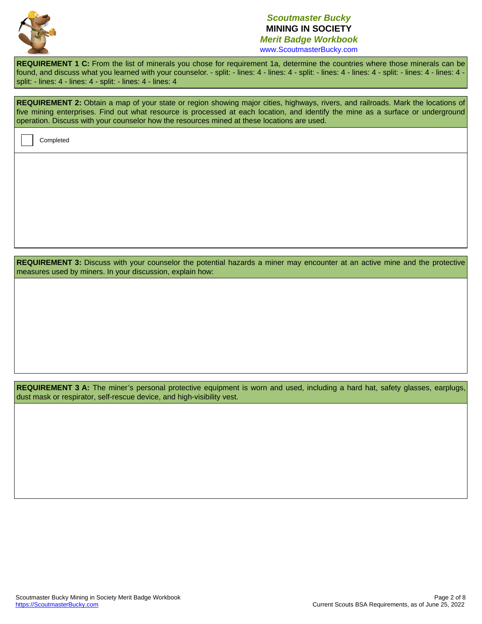

**REQUIREMENT 1 C:** From the list of minerals you chose for requirement 1a, determine the countries where those minerals can be found, and discuss what you learned with your counselor. - split: - lines: 4 - lines: 4 - split: - lines: 4 - split: - lines: 4 - lines: 4 - lines: 4 - lines: 4 split: - lines: 4 - lines: 4 - split: - lines: 4 - lines: 4

| REQUIREMENT 2: Obtain a map of your state or region showing major cities, highways, rivers, and railroads. Mark the locations of |
|----------------------------------------------------------------------------------------------------------------------------------|
| five mining enterprises. Find out what resource is processed at each location, and identify the mine as a surface or underground |
| operation. Discuss with your counselor how the resources mined at these locations are used.                                      |

Completed

**REQUIREMENT 3:** Discuss with your counselor the potential hazards a miner may encounter at an active mine and the protective measures used by miners. In your discussion, explain how:

REQUIREMENT 3 A: The miner's personal protective equipment is worn and used, including a hard hat, safety glasses, earplugs, dust mask or respirator, self-rescue device, and high-visibility vest.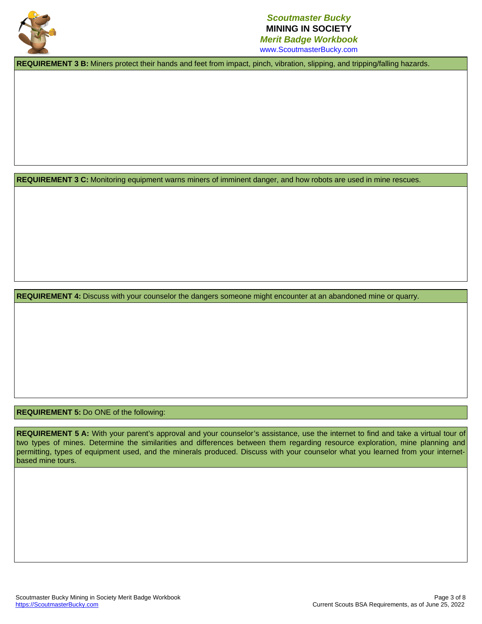

www.ScoutmasterBucky.com

**REQUIREMENT 3 B:** Miners protect their hands and feet from impact, pinch, vibration, slipping, and tripping/falling hazards.

**REQUIREMENT 3 C:** Monitoring equipment warns miners of imminent danger, and how robots are used in mine rescues.

**REQUIREMENT 4:** Discuss with your counselor the dangers someone might encounter at an abandoned mine or quarry.

### **REQUIREMENT 5:** Do ONE of the following:

REQUIREMENT 5 A: With your parent's approval and your counselor's assistance, use the internet to find and take a virtual tour of two types of mines. Determine the similarities and differences between them regarding resource exploration, mine planning and permitting, types of equipment used, and the minerals produced. Discuss with your counselor what you learned from your internetbased mine tours.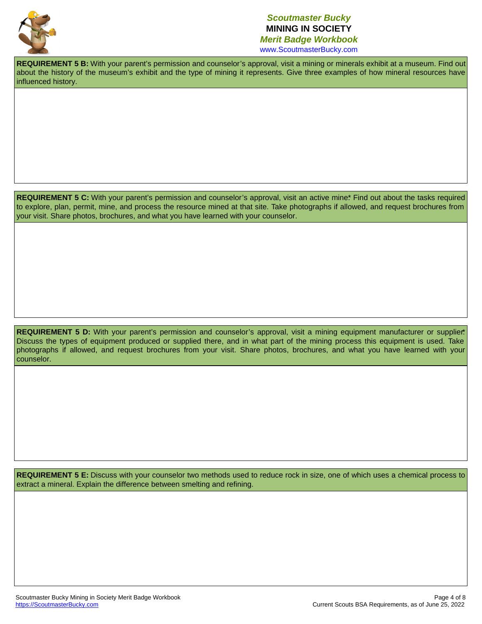

www.ScoutmasterBucky.com

**REQUIREMENT 5 B:** With your parent's permission and counselor's approval, visit a mining or minerals exhibit at a museum. Find out about the history of the museum's exhibit and the type of mining it represents. Give three examples of how mineral resources have influenced history.

**REQUIREMENT 5 C:** With your parent's permission and counselor's approval, visit an active mine\* Find out about the tasks required to explore, plan, permit, mine, and process the resource mined at that site. Take photographs if allowed, and request brochures from your visit. Share photos, brochures, and what you have learned with your counselor.

REQUIREMENT 5 D: With your parent's permission and counselor's approval, visit a mining equipment manufacturer or supplier. Discuss the types of equipment produced or supplied there, and in what part of the mining process this equipment is used. Take photographs if allowed, and request brochures from your visit. Share photos, brochures, and what you have learned with your counselor.

REQUIREMENT 5 E: Discuss with your counselor two methods used to reduce rock in size, one of which uses a chemical process to extract a mineral. Explain the difference between smelting and refining.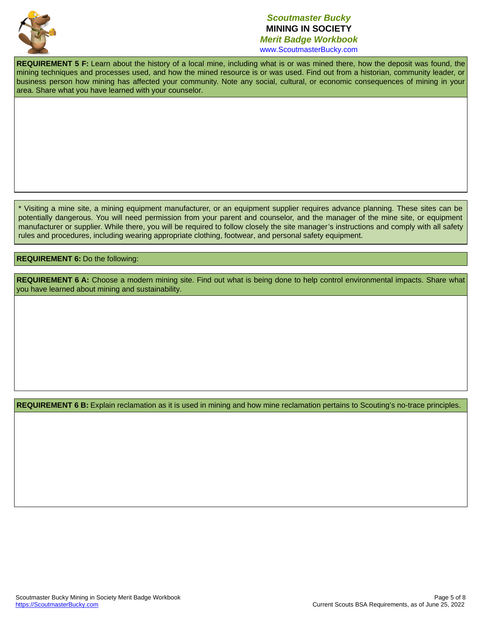

www.ScoutmasterBucky.com

**REQUIREMENT 5 F:** Learn about the history of a local mine, including what is or was mined there, how the deposit was found, the mining techniques and processes used, and how the mined resource is or was used. Find out from a historian, community leader, or business person how mining has affected your community. Note any social, cultural, or economic consequences of mining in your area. Share what you have learned with your counselor.

Visiting a mine site, a mining equipment manufacturer, or an equipment supplier requires advance planning. These sites can be \* potentially dangerous. You will need permission from your parent and counselor, and the manager of the mine site, or equipment manufacturer or supplier. While there, you will be required to follow closely the site manager's instructions and comply with all safety rules and procedures, including wearing appropriate clothing, footwear, and personal safety equipment.

#### **REQUIREMENT 6:** Do the following:

REQUIREMENT 6 A: Choose a modern mining site. Find out what is being done to help control environmental impacts. Share what you have learned about mining and sustainability.

**REQUIREMENT 6 B:** Explain reclamation as it is used in mining and how mine reclamation pertains to Scouting's no-trace principles.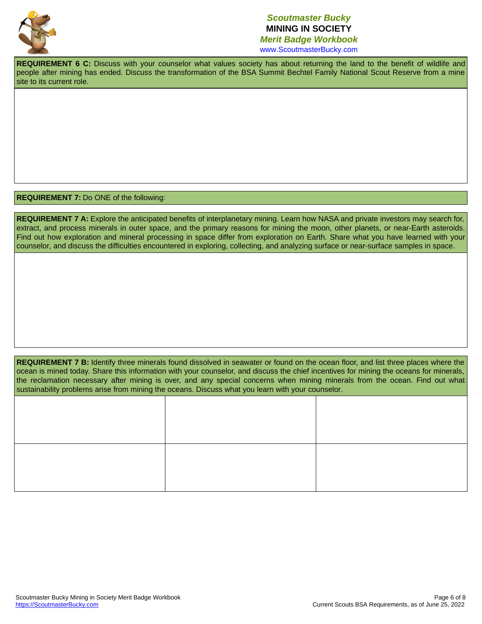

www.ScoutmasterBucky.com

**REQUIREMENT 6 C:** Discuss with your counselor what values society has about returning the land to the benefit of wildlife and people after mining has ended. Discuss the transformation of the BSA Summit Bechtel Family National Scout Reserve from a mine site to its current role.

**REQUIREMENT 7:** Do ONE of the following:

**REQUIREMENT 7 A:** Explore the anticipated benefits of interplanetary mining. Learn how NASA and private investors may search for, extract, and process minerals in outer space, and the primary reasons for mining the moon, other planets, or near-Earth asteroids. Find out how exploration and mineral processing in space differ from exploration on Earth. Share what you have learned with your counselor, and discuss the difficulties encountered in exploring, collecting, and analyzing surface or near-surface samples in space.

REQUIREMENT 7 B: Identify three minerals found dissolved in seawater or found on the ocean floor, and list three places where the ocean is mined today. Share this information with your counselor, and discuss the chief incentives for mining the oceans for minerals, the reclamation necessary after mining is over, and any special concerns when mining minerals from the ocean. Find out what sustainability problems arise from mining the oceans. Discuss what you learn with your counselor.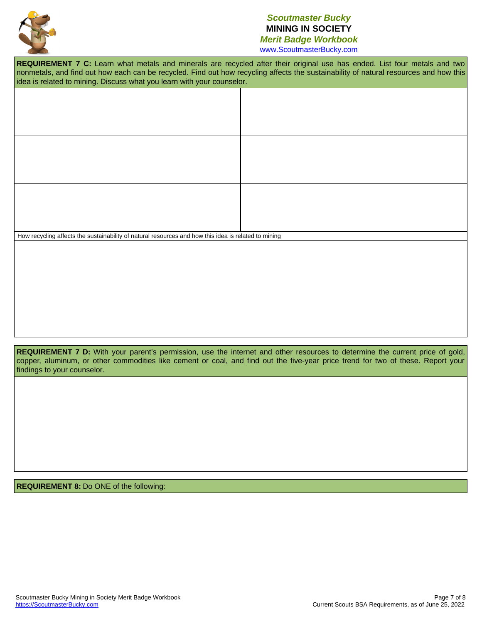

www.ScoutmasterBucky.com

**REQUIREMENT 7 C:** Learn what metals and minerals are recycled after their original use has ended. List four metals and two nonmetals, and find out how each can be recycled. Find out how recycling affects the sustainability of natural resources and how this idea is related to mining. Discuss what you learn with your counselor.

How recycling affects the sustainability of natural resources and how this idea is related to mining

**REQUIREMENT 7 D:** With your parent's permission, use the internet and other resources to determine the current price of gold, copper, aluminum, or other commodities like cement or coal, and find out the five-year price trend for two of these. Report your findings to your counselor.

**REQUIREMENT 8:** Do ONE of the following: